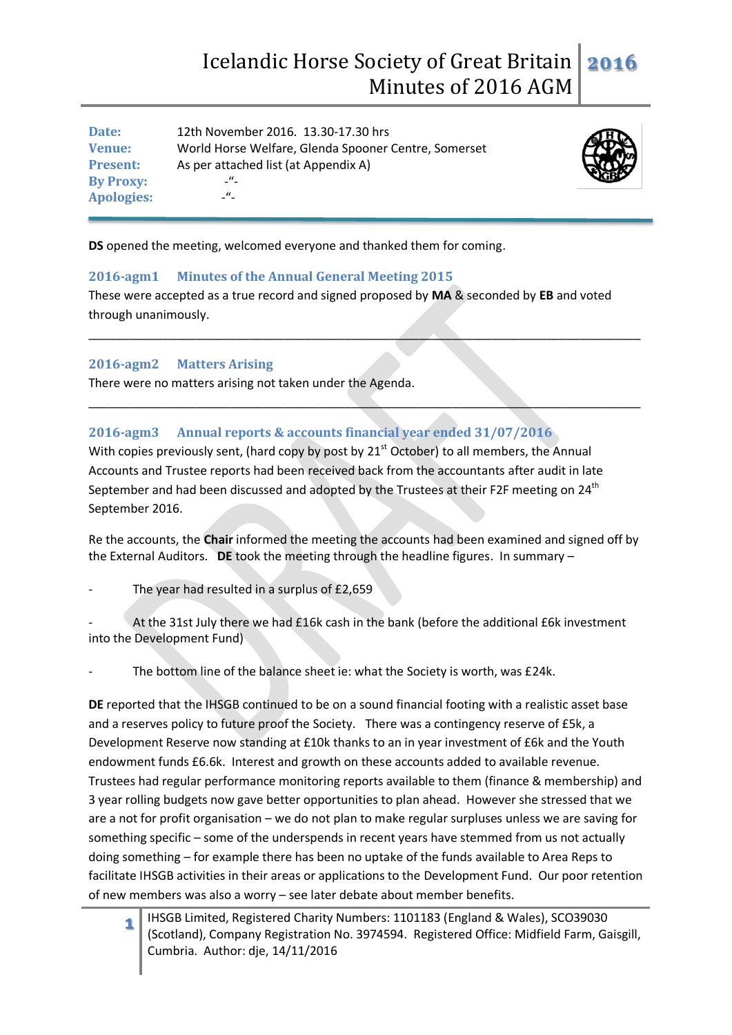# Icelandic Horse Society of Great Britain Minutes of 2016 AGM **2016**

**Date:** 12th November 2016. 13.30-17.30 hrs **Venue:** World Horse Welfare, Glenda Spooner Centre, Somerset **Present:** As per attached list (at Appendix A) **By Proxy:** -"- **Apologies:** 



**DS** opened the meeting, welcomed everyone and thanked them for coming.

# **2016-agm1 Minutes of the Annual General Meeting 2015**

These were accepted as a true record and signed proposed by **MA** & seconded by **EB** and voted through unanimously.

\_\_\_\_\_\_\_\_\_\_\_\_\_\_\_\_\_\_\_\_\_\_\_\_\_\_\_\_\_\_\_\_\_\_\_\_\_\_\_\_\_\_\_\_\_\_\_\_\_\_\_\_\_\_\_\_\_\_\_\_\_\_\_\_\_\_\_\_\_\_\_\_\_\_\_\_\_\_\_\_\_\_

\_\_\_\_\_\_\_\_\_\_\_\_\_\_\_\_\_\_\_\_\_\_\_\_\_\_\_\_\_\_\_\_\_\_\_\_\_\_\_\_\_\_\_\_\_\_\_\_\_\_\_\_\_\_\_\_\_\_\_\_\_\_\_\_\_\_\_\_\_\_\_\_\_\_\_\_\_\_\_\_\_\_

### **2016-agm2 Matters Arising**

There were no matters arising not taken under the Agenda.

# **2016-agm3 Annual reports & accounts financial year ended 31/07/2016**

With copies previously sent, (hard copy by post by 21<sup>st</sup> October) to all members, the Annual Accounts and Trustee reports had been received back from the accountants after audit in late September and had been discussed and adopted by the Trustees at their F2F meeting on 24<sup>th</sup> September 2016.

Re the accounts, the **Chair** informed the meeting the accounts had been examined and signed off by the External Auditors. **DE** took the meeting through the headline figures. In summary –

The year had resulted in a surplus of £2,659

At the 31st July there we had £16k cash in the bank (before the additional £6k investment into the Development Fund)

The bottom line of the balance sheet ie: what the Society is worth, was £24k.

**DE** reported that the IHSGB continued to be on a sound financial footing with a realistic asset base and a reserves policy to future proof the Society. There was a contingency reserve of £5k, a Development Reserve now standing at £10k thanks to an in year investment of £6k and the Youth endowment funds £6.6k. Interest and growth on these accounts added to available revenue. Trustees had regular performance monitoring reports available to them (finance & membership) and 3 year rolling budgets now gave better opportunities to plan ahead. However she stressed that we are a not for profit organisation – we do not plan to make regular surpluses unless we are saving for something specific – some of the underspends in recent years have stemmed from us not actually doing something – for example there has been no uptake of the funds available to Area Reps to facilitate IHSGB activities in their areas or applications to the Development Fund. Our poor retention of new members was also a worry – see later debate about member benefits.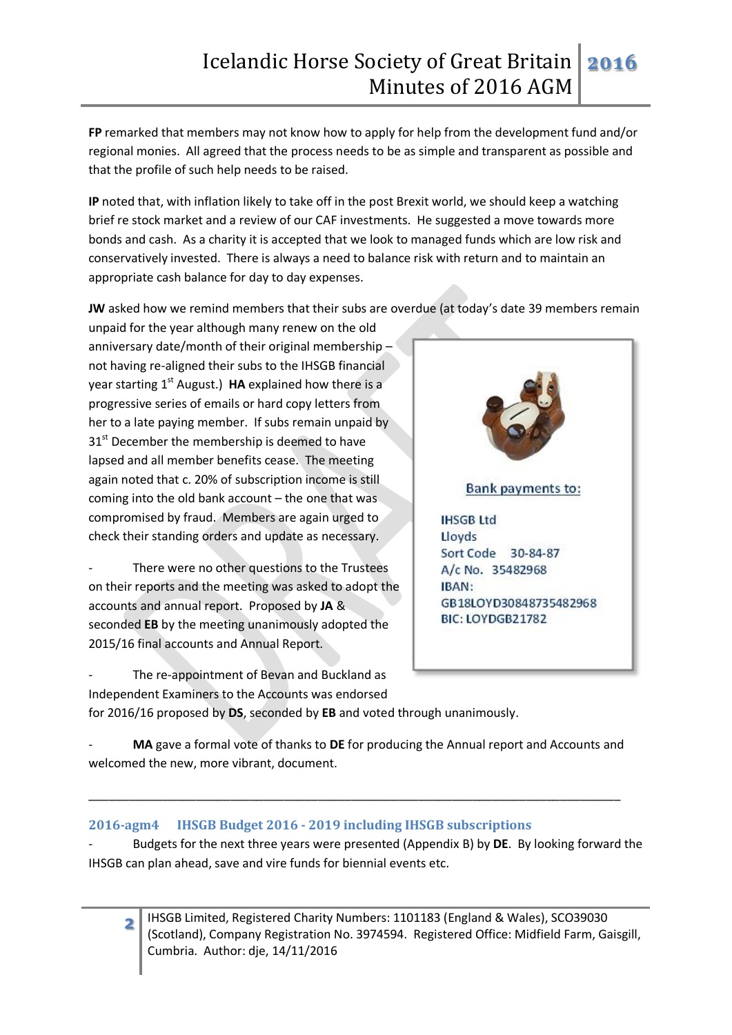**FP** remarked that members may not know how to apply for help from the development fund and/or regional monies. All agreed that the process needs to be as simple and transparent as possible and that the profile of such help needs to be raised.

**IP** noted that, with inflation likely to take off in the post Brexit world, we should keep a watching brief re stock market and a review of our CAF investments. He suggested a move towards more bonds and cash. As a charity it is accepted that we look to managed funds which are low risk and conservatively invested. There is always a need to balance risk with return and to maintain an appropriate cash balance for day to day expenses.

**JW** asked how we remind members that their subs are overdue (at today's date 39 members remain

unpaid for the year although many renew on the old anniversary date/month of their original membership – not having re-aligned their subs to the IHSGB financial year starting 1<sup>st</sup> August.) **HA** explained how there is a progressive series of emails or hard copy letters from her to a late paying member. If subs remain unpaid by  $31<sup>st</sup>$  December the membership is deemed to have lapsed and all member benefits cease. The meeting again noted that c. 20% of subscription income is still coming into the old bank account – the one that was compromised by fraud. Members are again urged to check their standing orders and update as necessary.

There were no other questions to the Trustees on their reports and the meeting was asked to adopt the accounts and annual report. Proposed by **JA** & seconded **EB** by the meeting unanimously adopted the 2015/16 final accounts and Annual Report.



The re-appointment of Bevan and Buckland as Independent Examiners to the Accounts was endorsed for 2016/16 proposed by **DS**, seconded by **EB** and voted through unanimously.

- **MA** gave a formal vote of thanks to **DE** for producing the Annual report and Accounts and welcomed the new, more vibrant, document.

\_\_\_\_\_\_\_\_\_\_\_\_\_\_\_\_\_\_\_\_\_\_\_\_\_\_\_\_\_\_\_\_\_\_\_\_\_\_\_\_\_\_\_\_\_\_\_\_\_\_\_\_\_\_\_\_\_\_\_\_\_\_\_\_\_\_\_\_\_\_\_\_\_\_\_\_\_\_\_

# **2016-agm4 IHSGB Budget 2016 - 2019 including IHSGB subscriptions**

- Budgets for the next three years were presented (Appendix B) by **DE**. By looking forward the IHSGB can plan ahead, save and vire funds for biennial events etc.

IHSGB Limited, Registered Charity Numbers: 1101183 (England & Wales), SCO39030 (Scotland), Company Registration No. 3974594. Registered Office: Midfield Farm, Gaisgill, Cumbria. Author: dje, 14/11/2016

**2**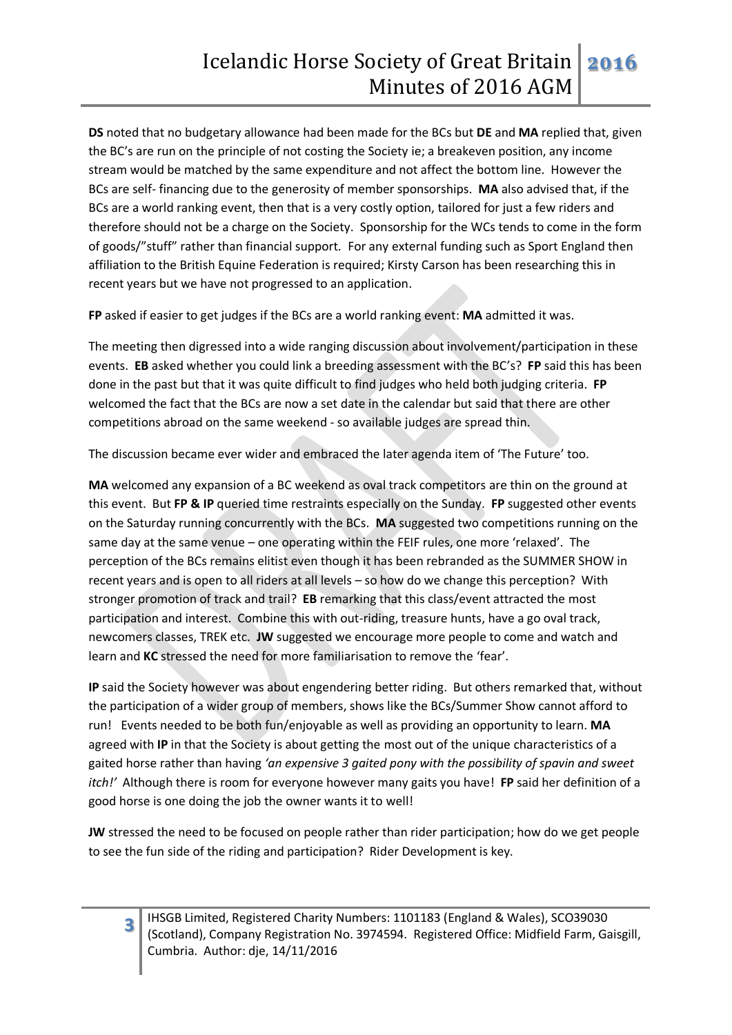**DS** noted that no budgetary allowance had been made for the BCs but **DE** and **MA** replied that, given the BC's are run on the principle of not costing the Society ie; a breakeven position, any income stream would be matched by the same expenditure and not affect the bottom line. However the BCs are self- financing due to the generosity of member sponsorships. **MA** also advised that, if the BCs are a world ranking event, then that is a very costly option, tailored for just a few riders and therefore should not be a charge on the Society. Sponsorship for the WCs tends to come in the form of goods/"stuff" rather than financial support. For any external funding such as Sport England then affiliation to the British Equine Federation is required; Kirsty Carson has been researching this in recent years but we have not progressed to an application.

**FP** asked if easier to get judges if the BCs are a world ranking event: **MA** admitted it was.

The meeting then digressed into a wide ranging discussion about involvement/participation in these events. **EB** asked whether you could link a breeding assessment with the BC's? **FP** said this has been done in the past but that it was quite difficult to find judges who held both judging criteria. **FP** welcomed the fact that the BCs are now a set date in the calendar but said that there are other competitions abroad on the same weekend - so available judges are spread thin.

The discussion became ever wider and embraced the later agenda item of 'The Future' too.

**MA** welcomed any expansion of a BC weekend as oval track competitors are thin on the ground at this event. But **FP & IP** queried time restraints especially on the Sunday. **FP** suggested other events on the Saturday running concurrently with the BCs. **MA** suggested two competitions running on the same day at the same venue – one operating within the FEIF rules, one more 'relaxed'. The perception of the BCs remains elitist even though it has been rebranded as the SUMMER SHOW in recent years and is open to all riders at all levels – so how do we change this perception? With stronger promotion of track and trail? **EB** remarking that this class/event attracted the most participation and interest. Combine this with out-riding, treasure hunts, have a go oval track, newcomers classes, TREK etc. **JW** suggested we encourage more people to come and watch and learn and **KC** stressed the need for more familiarisation to remove the 'fear'.

**IP** said the Society however was about engendering better riding. But others remarked that, without the participation of a wider group of members, shows like the BCs/Summer Show cannot afford to run! Events needed to be both fun/enjoyable as well as providing an opportunity to learn. **MA** agreed with **IP** in that the Society is about getting the most out of the unique characteristics of a gaited horse rather than having *'an expensive 3 gaited pony with the possibility of spavin and sweet itch!'* Although there is room for everyone however many gaits you have! **FP** said her definition of a good horse is one doing the job the owner wants it to well!

**JW** stressed the need to be focused on people rather than rider participation; how do we get people to see the fun side of the riding and participation? Rider Development is key.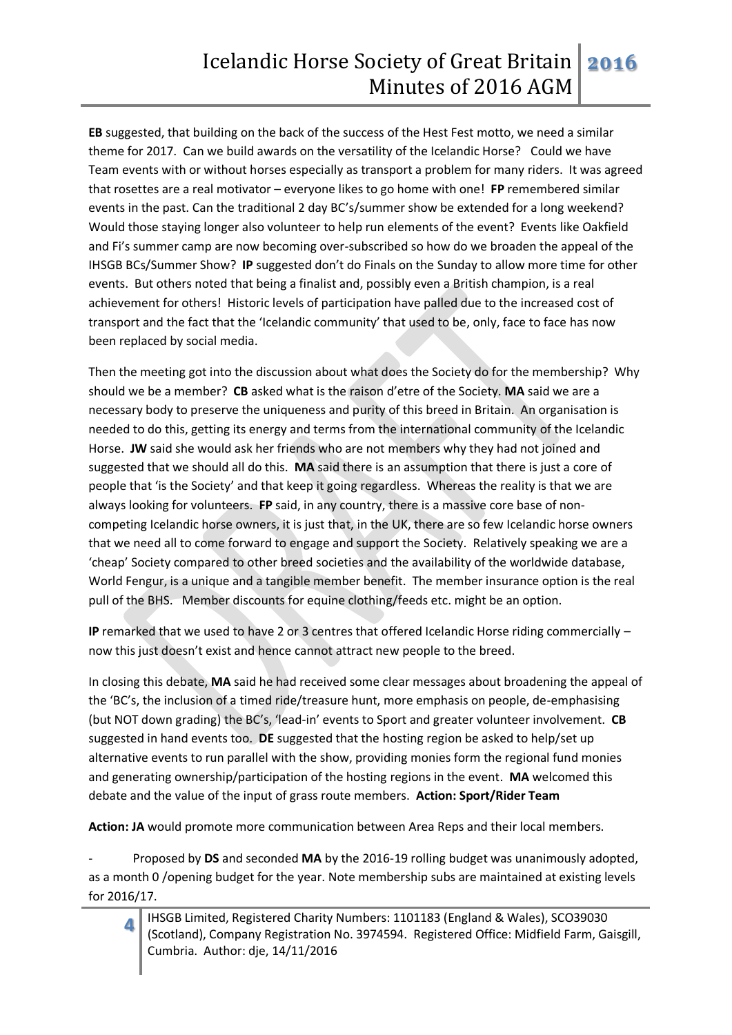**EB** suggested, that building on the back of the success of the Hest Fest motto, we need a similar theme for 2017. Can we build awards on the versatility of the Icelandic Horse? Could we have Team events with or without horses especially as transport a problem for many riders. It was agreed that rosettes are a real motivator – everyone likes to go home with one! **FP** remembered similar events in the past. Can the traditional 2 day BC's/summer show be extended for a long weekend? Would those staying longer also volunteer to help run elements of the event? Events like Oakfield and Fi's summer camp are now becoming over-subscribed so how do we broaden the appeal of the IHSGB BCs/Summer Show? **IP** suggested don't do Finals on the Sunday to allow more time for other events. But others noted that being a finalist and, possibly even a British champion, is a real achievement for others! Historic levels of participation have palled due to the increased cost of transport and the fact that the 'Icelandic community' that used to be, only, face to face has now been replaced by social media.

Then the meeting got into the discussion about what does the Society do for the membership? Why should we be a member? **CB** asked what is the raison d'etre of the Society. **MA** said we are a necessary body to preserve the uniqueness and purity of this breed in Britain. An organisation is needed to do this, getting its energy and terms from the international community of the Icelandic Horse. **JW** said she would ask her friends who are not members why they had not joined and suggested that we should all do this. **MA** said there is an assumption that there is just a core of people that 'is the Society' and that keep it going regardless. Whereas the reality is that we are always looking for volunteers. **FP** said, in any country, there is a massive core base of noncompeting Icelandic horse owners, it is just that, in the UK, there are so few Icelandic horse owners that we need all to come forward to engage and support the Society. Relatively speaking we are a 'cheap' Society compared to other breed societies and the availability of the worldwide database, World Fengur, is a unique and a tangible member benefit. The member insurance option is the real pull of the BHS. Member discounts for equine clothing/feeds etc. might be an option.

**IP** remarked that we used to have 2 or 3 centres that offered Icelandic Horse riding commercially – now this just doesn't exist and hence cannot attract new people to the breed.

In closing this debate, **MA** said he had received some clear messages about broadening the appeal of the 'BC's, the inclusion of a timed ride/treasure hunt, more emphasis on people, de-emphasising (but NOT down grading) the BC's, 'lead-in' events to Sport and greater volunteer involvement. **CB** suggested in hand events too. **DE** suggested that the hosting region be asked to help/set up alternative events to run parallel with the show, providing monies form the regional fund monies and generating ownership/participation of the hosting regions in the event. **MA** welcomed this debate and the value of the input of grass route members. **Action: Sport/Rider Team**

**Action: JA** would promote more communication between Area Reps and their local members.

**4**

- Proposed by **DS** and seconded **MA** by the 2016-19 rolling budget was unanimously adopted, as a month 0 /opening budget for the year. Note membership subs are maintained at existing levels for 2016/17.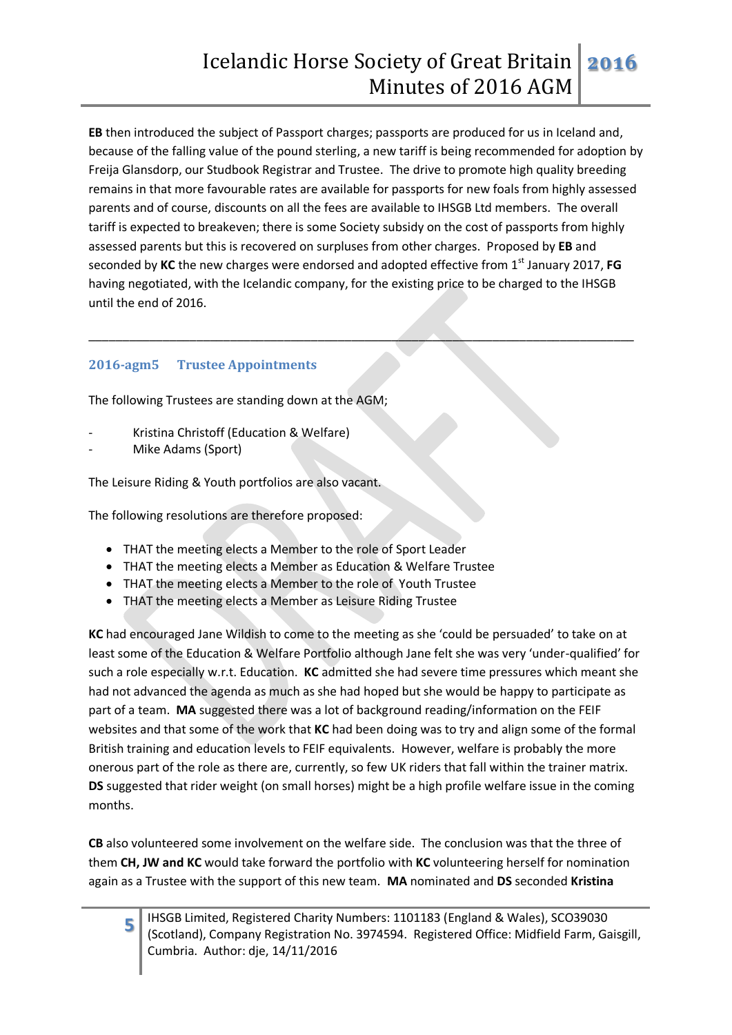**EB** then introduced the subject of Passport charges; passports are produced for us in Iceland and, because of the falling value of the pound sterling, a new tariff is being recommended for adoption by Freija Glansdorp, our Studbook Registrar and Trustee. The drive to promote high quality breeding remains in that more favourable rates are available for passports for new foals from highly assessed parents and of course, discounts on all the fees are available to IHSGB Ltd members. The overall tariff is expected to breakeven; there is some Society subsidy on the cost of passports from highly assessed parents but this is recovered on surpluses from other charges. Proposed by **EB** and seconded by **KC** the new charges were endorsed and adopted effective from 1st January 2017, **FG**  having negotiated, with the Icelandic company, for the existing price to be charged to the IHSGB until the end of 2016.

\_\_\_\_\_\_\_\_\_\_\_\_\_\_\_\_\_\_\_\_\_\_\_\_\_\_\_\_\_\_\_\_\_\_\_\_\_\_\_\_\_\_\_\_\_\_\_\_\_\_\_\_\_\_\_\_\_\_\_\_\_\_\_\_\_\_\_\_\_\_\_\_\_\_\_\_\_\_\_\_\_

# **2016-agm5 Trustee Appointments**

The following Trustees are standing down at the AGM;

- Kristina Christoff (Education & Welfare)
- Mike Adams (Sport)

**5**

The Leisure Riding & Youth portfolios are also vacant.

The following resolutions are therefore proposed:

- THAT the meeting elects a Member to the role of Sport Leader
- THAT the meeting elects a Member as Education & Welfare Trustee
- THAT the meeting elects a Member to the role of Youth Trustee
- THAT the meeting elects a Member as Leisure Riding Trustee

**KC** had encouraged Jane Wildish to come to the meeting as she 'could be persuaded' to take on at least some of the Education & Welfare Portfolio although Jane felt she was very 'under-qualified' for such a role especially w.r.t. Education. **KC** admitted she had severe time pressures which meant she had not advanced the agenda as much as she had hoped but she would be happy to participate as part of a team. **MA** suggested there was a lot of background reading/information on the FEIF websites and that some of the work that **KC** had been doing was to try and align some of the formal British training and education levels to FEIF equivalents. However, welfare is probably the more onerous part of the role as there are, currently, so few UK riders that fall within the trainer matrix. **DS** suggested that rider weight (on small horses) might be a high profile welfare issue in the coming months.

**CB** also volunteered some involvement on the welfare side. The conclusion was that the three of them **CH, JW and KC** would take forward the portfolio with **KC** volunteering herself for nomination again as a Trustee with the support of this new team. **MA** nominated and **DS** seconded **Kristina**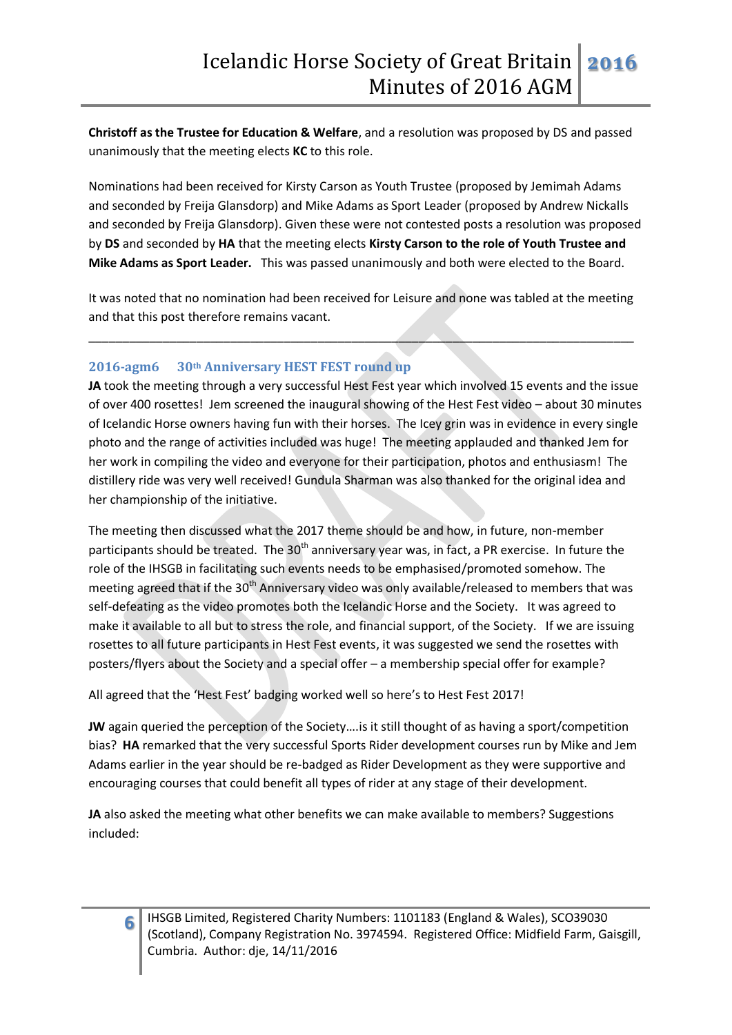**Christoff as the Trustee for Education & Welfare**, and a resolution was proposed by DS and passed unanimously that the meeting elects **KC** to this role.

Nominations had been received for Kirsty Carson as Youth Trustee (proposed by Jemimah Adams and seconded by Freija Glansdorp) and Mike Adams as Sport Leader (proposed by Andrew Nickalls and seconded by Freija Glansdorp). Given these were not contested posts a resolution was proposed by **DS** and seconded by **HA** that the meeting elects **Kirsty Carson to the role of Youth Trustee and Mike Adams as Sport Leader.** This was passed unanimously and both were elected to the Board.

It was noted that no nomination had been received for Leisure and none was tabled at the meeting and that this post therefore remains vacant.

\_\_\_\_\_\_\_\_\_\_\_\_\_\_\_\_\_\_\_\_\_\_\_\_\_\_\_\_\_\_\_\_\_\_\_\_\_\_\_\_\_\_\_\_\_\_\_\_\_\_\_\_\_\_\_\_\_\_\_\_\_\_\_\_\_\_\_\_\_\_\_\_\_\_\_\_\_\_\_\_\_

# **2016-agm6 30th Anniversary HEST FEST round up**

**JA** took the meeting through a very successful Hest Fest year which involved 15 events and the issue of over 400 rosettes! Jem screened the inaugural showing of the Hest Fest video – about 30 minutes of Icelandic Horse owners having fun with their horses. The Icey grin was in evidence in every single photo and the range of activities included was huge! The meeting applauded and thanked Jem for her work in compiling the video and everyone for their participation, photos and enthusiasm! The distillery ride was very well received! Gundula Sharman was also thanked for the original idea and her championship of the initiative.

The meeting then discussed what the 2017 theme should be and how, in future, non-member participants should be treated. The  $30<sup>th</sup>$  anniversary year was, in fact, a PR exercise. In future the role of the IHSGB in facilitating such events needs to be emphasised/promoted somehow. The meeting agreed that if the 30<sup>th</sup> Anniversary video was only available/released to members that was self-defeating as the video promotes both the Icelandic Horse and the Society. It was agreed to make it available to all but to stress the role, and financial support, of the Society. If we are issuing rosettes to all future participants in Hest Fest events, it was suggested we send the rosettes with posters/flyers about the Society and a special offer – a membership special offer for example?

All agreed that the 'Hest Fest' badging worked well so here's to Hest Fest 2017!

**JW** again queried the perception of the Society….is it still thought of as having a sport/competition bias? **HA** remarked that the very successful Sports Rider development courses run by Mike and Jem Adams earlier in the year should be re-badged as Rider Development as they were supportive and encouraging courses that could benefit all types of rider at any stage of their development.

**JA** also asked the meeting what other benefits we can make available to members? Suggestions included: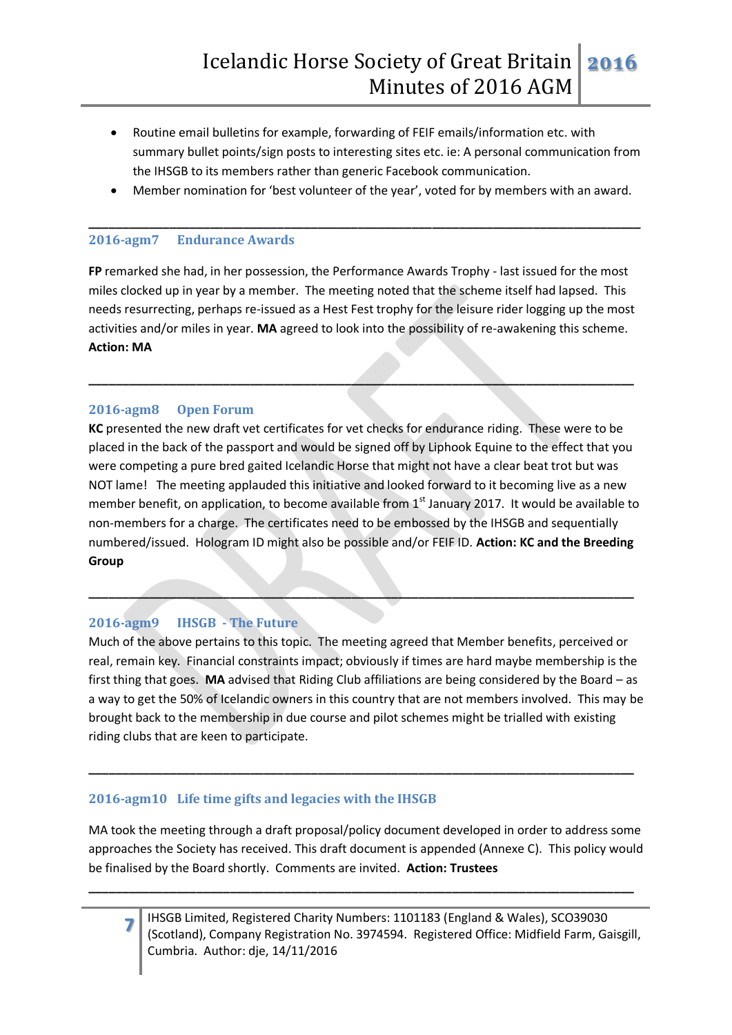- Routine email bulletins for example, forwarding of FEIF emails/information etc. with summary bullet points/sign posts to interesting sites etc. ie: A personal communication from the IHSGB to its members rather than generic Facebook communication.
- Member nomination for 'best volunteer of the year', voted for by members with an award.

**\_\_\_\_\_\_\_\_\_\_\_\_\_\_\_\_\_\_\_\_\_\_\_\_\_\_\_\_\_\_\_\_\_\_\_\_\_\_\_\_\_\_\_\_\_\_\_\_\_\_\_\_\_\_\_\_\_\_\_\_\_\_\_\_\_\_\_\_\_\_\_\_\_\_\_\_\_\_\_\_\_\_**

#### **2016-agm7 Endurance Awards**

**FP** remarked she had, in her possession, the Performance Awards Trophy - last issued for the most miles clocked up in year by a member. The meeting noted that the scheme itself had lapsed. This needs resurrecting, perhaps re-issued as a Hest Fest trophy for the leisure rider logging up the most activities and/or miles in year. **MA** agreed to look into the possibility of re-awakening this scheme. **Action: MA**

**\_\_\_\_\_\_\_\_\_\_\_\_\_\_\_\_\_\_\_\_\_\_\_\_\_\_\_\_\_\_\_\_\_\_\_\_\_\_\_\_\_\_\_\_\_\_\_\_\_\_\_\_\_\_\_\_\_\_\_\_\_\_\_\_\_\_\_\_\_\_\_\_\_\_\_\_\_\_\_\_\_**

### **2016-agm8 Open Forum**

**KC** presented the new draft vet certificates for vet checks for endurance riding. These were to be placed in the back of the passport and would be signed off by Liphook Equine to the effect that you were competing a pure bred gaited Icelandic Horse that might not have a clear beat trot but was NOT lame! The meeting applauded this initiative and looked forward to it becoming live as a new member benefit, on application, to become available from 1<sup>st</sup> January 2017. It would be available to non-members for a charge. The certificates need to be embossed by the IHSGB and sequentially numbered/issued. Hologram ID might also be possible and/or FEIF ID. **Action: KC and the Breeding Group**

**\_\_\_\_\_\_\_\_\_\_\_\_\_\_\_\_\_\_\_\_\_\_\_\_\_\_\_\_\_\_\_\_\_\_\_\_\_\_\_\_\_\_\_\_\_\_\_\_\_\_\_\_\_\_\_\_\_\_\_\_\_\_\_\_\_\_\_\_\_\_\_\_\_\_\_\_\_\_\_\_\_**

# **2016-agm9 IHSGB - The Future**

**7**

Much of the above pertains to this topic. The meeting agreed that Member benefits, perceived or real, remain key. Financial constraints impact; obviously if times are hard maybe membership is the first thing that goes. **MA** advised that Riding Club affiliations are being considered by the Board – as a way to get the 50% of Icelandic owners in this country that are not members involved. This may be brought back to the membership in due course and pilot schemes might be trialled with existing riding clubs that are keen to participate.

**\_\_\_\_\_\_\_\_\_\_\_\_\_\_\_\_\_\_\_\_\_\_\_\_\_\_\_\_\_\_\_\_\_\_\_\_\_\_\_\_\_\_\_\_\_\_\_\_\_\_\_\_\_\_\_\_\_\_\_\_\_\_\_\_\_\_\_\_\_\_\_\_\_\_\_\_\_\_\_\_\_**

### **2016-agm10 Life time gifts and legacies with the IHSGB**

MA took the meeting through a draft proposal/policy document developed in order to address some approaches the Society has received. This draft document is appended (Annexe C). This policy would be finalised by the Board shortly. Comments are invited. **Action: Trustees**

**\_\_\_\_\_\_\_\_\_\_\_\_\_\_\_\_\_\_\_\_\_\_\_\_\_\_\_\_\_\_\_\_\_\_\_\_\_\_\_\_\_\_\_\_\_\_\_\_\_\_\_\_\_\_\_\_\_\_\_\_\_\_\_\_\_\_\_\_\_\_\_\_\_\_\_\_\_\_\_\_\_**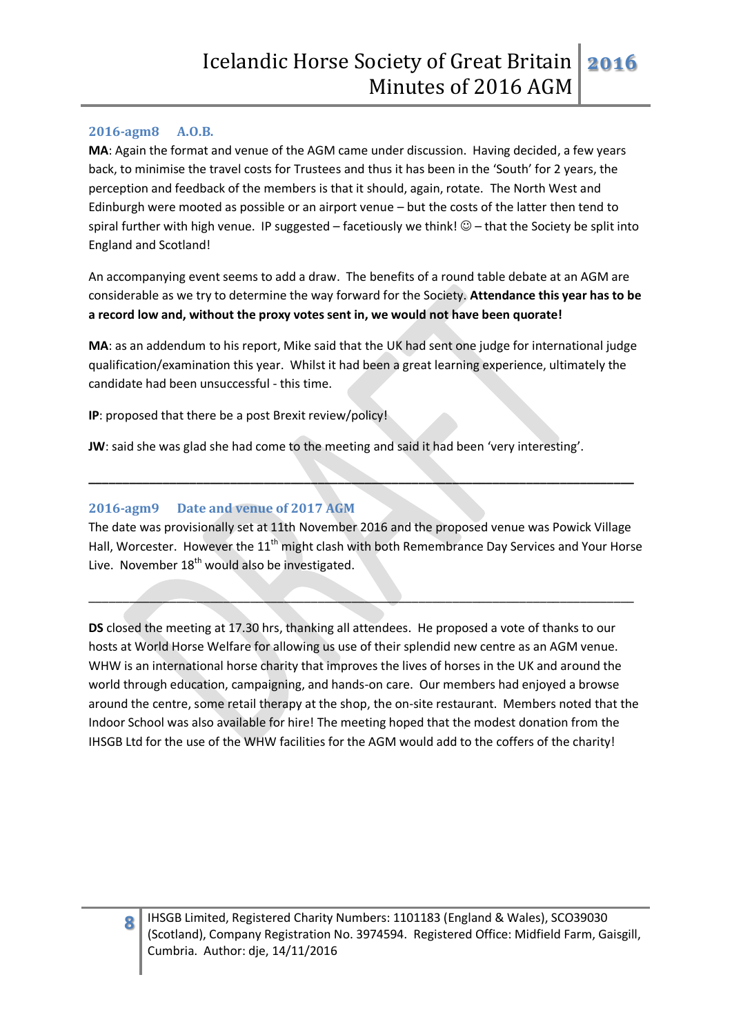### **2016-agm8 A.O.B.**

**MA**: Again the format and venue of the AGM came under discussion. Having decided, a few years back, to minimise the travel costs for Trustees and thus it has been in the 'South' for 2 years, the perception and feedback of the members is that it should, again, rotate. The North West and Edinburgh were mooted as possible or an airport venue – but the costs of the latter then tend to spiral further with high venue. IP suggested – facetiously we think!  $\circledcirc$  – that the Society be split into England and Scotland!

An accompanying event seems to add a draw. The benefits of a round table debate at an AGM are considerable as we try to determine the way forward for the Society. **Attendance this year has to be a record low and, without the proxy votes sent in, we would not have been quorate!**

**MA**: as an addendum to his report, Mike said that the UK had sent one judge for international judge qualification/examination this year. Whilst it had been a great learning experience, ultimately the candidate had been unsuccessful - this time.

**IP**: proposed that there be a post Brexit review/policy!

**JW**: said she was glad she had come to the meeting and said it had been 'very interesting'.

### **2016-agm9 Date and venue of 2017 AGM**

The date was provisionally set at 11th November 2016 and the proposed venue was Powick Village Hall, Worcester. However the 11<sup>th</sup> might clash with both Remembrance Day Services and Your Horse Live. November  $18<sup>th</sup>$  would also be investigated.

\_\_\_\_\_\_\_\_\_\_\_\_\_\_\_\_\_\_\_\_\_\_\_\_\_\_\_\_\_\_\_\_\_\_\_\_\_\_\_\_\_\_\_\_\_\_\_\_\_\_\_\_\_\_\_\_\_\_\_\_\_\_\_\_\_\_\_\_\_\_\_\_\_\_\_\_\_\_\_\_\_

**\_\_\_\_\_\_\_\_\_\_\_\_\_\_\_\_\_\_\_\_\_\_\_\_\_\_\_\_\_\_\_\_\_\_\_\_\_\_\_\_\_\_\_\_\_\_\_\_\_\_\_\_\_\_\_\_\_\_\_\_\_\_\_\_\_\_\_\_\_\_\_\_\_\_\_\_\_\_\_\_\_**

**DS** closed the meeting at 17.30 hrs, thanking all attendees. He proposed a vote of thanks to our hosts at World Horse Welfare for allowing us use of their splendid new centre as an AGM venue. WHW is an international horse charity that improves the lives of horses in the UK and around the world through education, campaigning, and hands-on care. Our members had enjoyed a browse around the centre, some retail therapy at the shop, the on-site restaurant. Members noted that the Indoor School was also available for hire! The meeting hoped that the modest donation from the IHSGB Ltd for the use of the WHW facilities for the AGM would add to the coffers of the charity!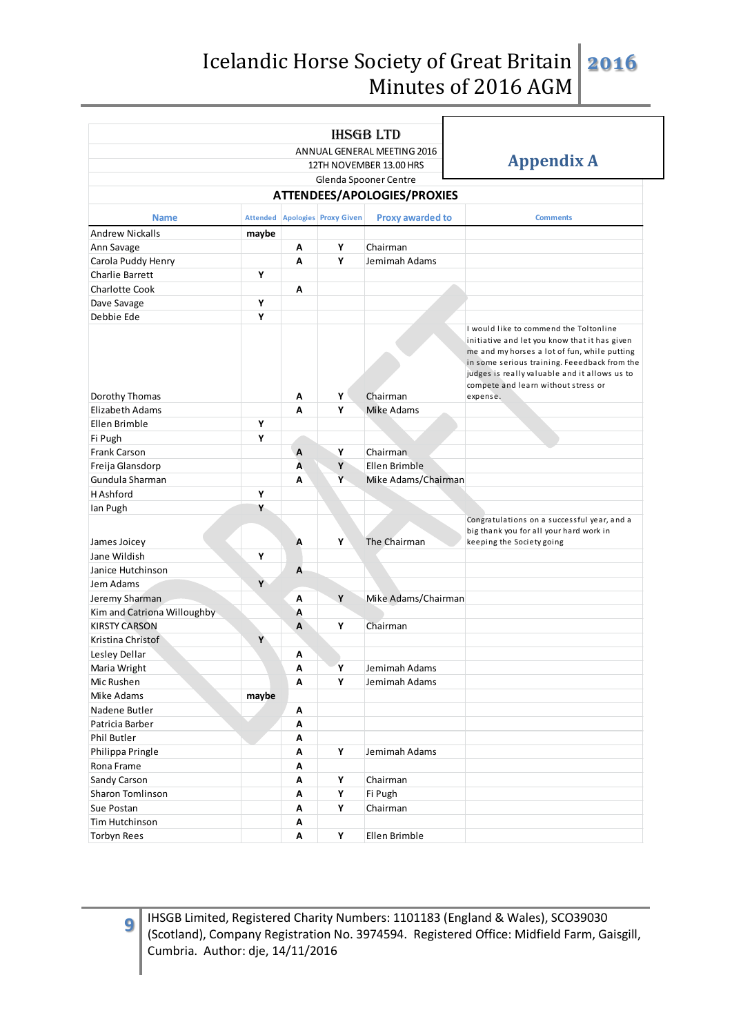# Icelandic Horse Society of Great Britain Minutes of 2016 AGM **2016**

|                                |       | <b>IHSGB LTD</b>                                                             |                   |                             |                                                                                                                                                                                                                                                                                 |  |  |  |  |  |  |  |
|--------------------------------|-------|------------------------------------------------------------------------------|-------------------|-----------------------------|---------------------------------------------------------------------------------------------------------------------------------------------------------------------------------------------------------------------------------------------------------------------------------|--|--|--|--|--|--|--|
|                                |       | ANNUAL GENERAL MEETING 2016                                                  |                   |                             |                                                                                                                                                                                                                                                                                 |  |  |  |  |  |  |  |
|                                |       | 12TH NOVEMBER 13.00 HRS                                                      | <b>Appendix A</b> |                             |                                                                                                                                                                                                                                                                                 |  |  |  |  |  |  |  |
|                                |       | Glenda Spooner Centre                                                        |                   |                             |                                                                                                                                                                                                                                                                                 |  |  |  |  |  |  |  |
|                                |       |                                                                              |                   | ATTENDEES/APOLOGIES/PROXIES |                                                                                                                                                                                                                                                                                 |  |  |  |  |  |  |  |
| <b>Name</b>                    |       | Attended Apologies Proxy Given<br><b>Proxy awarded to</b><br><b>Comments</b> |                   |                             |                                                                                                                                                                                                                                                                                 |  |  |  |  |  |  |  |
| <b>Andrew Nickalls</b>         | maybe |                                                                              |                   |                             |                                                                                                                                                                                                                                                                                 |  |  |  |  |  |  |  |
| Ann Savage                     |       | А                                                                            | Υ                 | Chairman                    |                                                                                                                                                                                                                                                                                 |  |  |  |  |  |  |  |
| Carola Puddy Henry             |       | A                                                                            | Y                 | Jemimah Adams               |                                                                                                                                                                                                                                                                                 |  |  |  |  |  |  |  |
| <b>Charlie Barrett</b>         | Υ     |                                                                              |                   |                             |                                                                                                                                                                                                                                                                                 |  |  |  |  |  |  |  |
| <b>Charlotte Cook</b>          |       | Α                                                                            |                   |                             |                                                                                                                                                                                                                                                                                 |  |  |  |  |  |  |  |
|                                | Υ     |                                                                              |                   |                             |                                                                                                                                                                                                                                                                                 |  |  |  |  |  |  |  |
| Dave Savage<br>Debbie Ede      | Υ     |                                                                              |                   |                             |                                                                                                                                                                                                                                                                                 |  |  |  |  |  |  |  |
|                                |       |                                                                              |                   |                             | I would like to commend the Toltonline<br>initiative and let you know that it has given<br>me and my horses a lot of fun, while putting<br>in some serious training. Feeedback from the<br>judges is really valuable and it allows us to<br>compete and learn without stress or |  |  |  |  |  |  |  |
| Dorothy Thomas                 |       | Α                                                                            | Υ                 | Chairman                    | expense.                                                                                                                                                                                                                                                                        |  |  |  |  |  |  |  |
| Elizabeth Adams                |       | A                                                                            | Υ                 | Mike Adams                  |                                                                                                                                                                                                                                                                                 |  |  |  |  |  |  |  |
| Ellen Brimble                  | Υ     |                                                                              |                   |                             |                                                                                                                                                                                                                                                                                 |  |  |  |  |  |  |  |
| Fi Pugh                        | Υ     |                                                                              |                   |                             |                                                                                                                                                                                                                                                                                 |  |  |  |  |  |  |  |
| Frank Carson                   |       | A                                                                            | Υ                 | Chairman                    |                                                                                                                                                                                                                                                                                 |  |  |  |  |  |  |  |
| Freija Glansdorp               |       | A                                                                            | Υ                 | Ellen Brimble               |                                                                                                                                                                                                                                                                                 |  |  |  |  |  |  |  |
| Gundula Sharman                |       | А                                                                            | Y                 | Mike Adams/Chairman         |                                                                                                                                                                                                                                                                                 |  |  |  |  |  |  |  |
| <b>H</b> Ashford               | Υ     |                                                                              |                   |                             |                                                                                                                                                                                                                                                                                 |  |  |  |  |  |  |  |
| Ian Pugh                       | Υ     |                                                                              |                   |                             |                                                                                                                                                                                                                                                                                 |  |  |  |  |  |  |  |
| James Joicey                   |       | A                                                                            | Υ                 | The Chairman                | Congratulations on a successful year, and a<br>big thank you for all your hard work in<br>keeping the Society going                                                                                                                                                             |  |  |  |  |  |  |  |
| Jane Wildish                   | Υ     |                                                                              |                   |                             |                                                                                                                                                                                                                                                                                 |  |  |  |  |  |  |  |
| Janice Hutchinson              |       | A                                                                            |                   |                             |                                                                                                                                                                                                                                                                                 |  |  |  |  |  |  |  |
| Jem Adams                      | Y     |                                                                              |                   |                             |                                                                                                                                                                                                                                                                                 |  |  |  |  |  |  |  |
| Jeremy Sharman                 |       | А                                                                            | Υ                 | Mike Adams/Chairman         |                                                                                                                                                                                                                                                                                 |  |  |  |  |  |  |  |
| Kim and Catriona Willoughby    |       | Α                                                                            |                   |                             |                                                                                                                                                                                                                                                                                 |  |  |  |  |  |  |  |
| <b>KIRSTY CARSON</b>           |       | A                                                                            | Υ                 | Chairman                    |                                                                                                                                                                                                                                                                                 |  |  |  |  |  |  |  |
| Kristina Christof              | Υ     |                                                                              |                   |                             |                                                                                                                                                                                                                                                                                 |  |  |  |  |  |  |  |
| Lesley Dellar                  |       | А                                                                            |                   |                             |                                                                                                                                                                                                                                                                                 |  |  |  |  |  |  |  |
| Maria Wright                   |       | Α                                                                            | Υ                 | Jemimah Adams               |                                                                                                                                                                                                                                                                                 |  |  |  |  |  |  |  |
| Mic Rushen                     |       | Α                                                                            | Υ                 | Jemimah Adams               |                                                                                                                                                                                                                                                                                 |  |  |  |  |  |  |  |
| Mike Adams                     | maybe |                                                                              |                   |                             |                                                                                                                                                                                                                                                                                 |  |  |  |  |  |  |  |
| Nadene Butler                  |       | Α                                                                            |                   |                             |                                                                                                                                                                                                                                                                                 |  |  |  |  |  |  |  |
| Patricia Barber                |       | Α                                                                            |                   |                             |                                                                                                                                                                                                                                                                                 |  |  |  |  |  |  |  |
| Phil Butler                    |       | А                                                                            |                   |                             |                                                                                                                                                                                                                                                                                 |  |  |  |  |  |  |  |
| Philippa Pringle               |       | Α                                                                            | Υ                 | Jemimah Adams               |                                                                                                                                                                                                                                                                                 |  |  |  |  |  |  |  |
| Rona Frame                     |       | А                                                                            |                   |                             |                                                                                                                                                                                                                                                                                 |  |  |  |  |  |  |  |
| Sandy Carson                   |       | А                                                                            | Υ                 | Chairman                    |                                                                                                                                                                                                                                                                                 |  |  |  |  |  |  |  |
|                                |       | Α                                                                            | Υ                 |                             |                                                                                                                                                                                                                                                                                 |  |  |  |  |  |  |  |
| Sharon Tomlinson<br>Sue Postan |       | Α                                                                            | Υ                 | Fi Pugh<br>Chairman         |                                                                                                                                                                                                                                                                                 |  |  |  |  |  |  |  |
| Tim Hutchinson                 |       | Α                                                                            |                   |                             |                                                                                                                                                                                                                                                                                 |  |  |  |  |  |  |  |
|                                |       |                                                                              |                   |                             |                                                                                                                                                                                                                                                                                 |  |  |  |  |  |  |  |
| Torbyn Rees                    |       | Α                                                                            | Υ                 | Ellen Brimble               |                                                                                                                                                                                                                                                                                 |  |  |  |  |  |  |  |

IHSGB Limited, Registered Charity Numbers: 1101183 (England & Wales), SCO39030 (Scotland), Company Registration No. 3974594. Registered Office: Midfield Farm, Gaisgill, Cumbria. Author: dje, 14/11/2016

**9**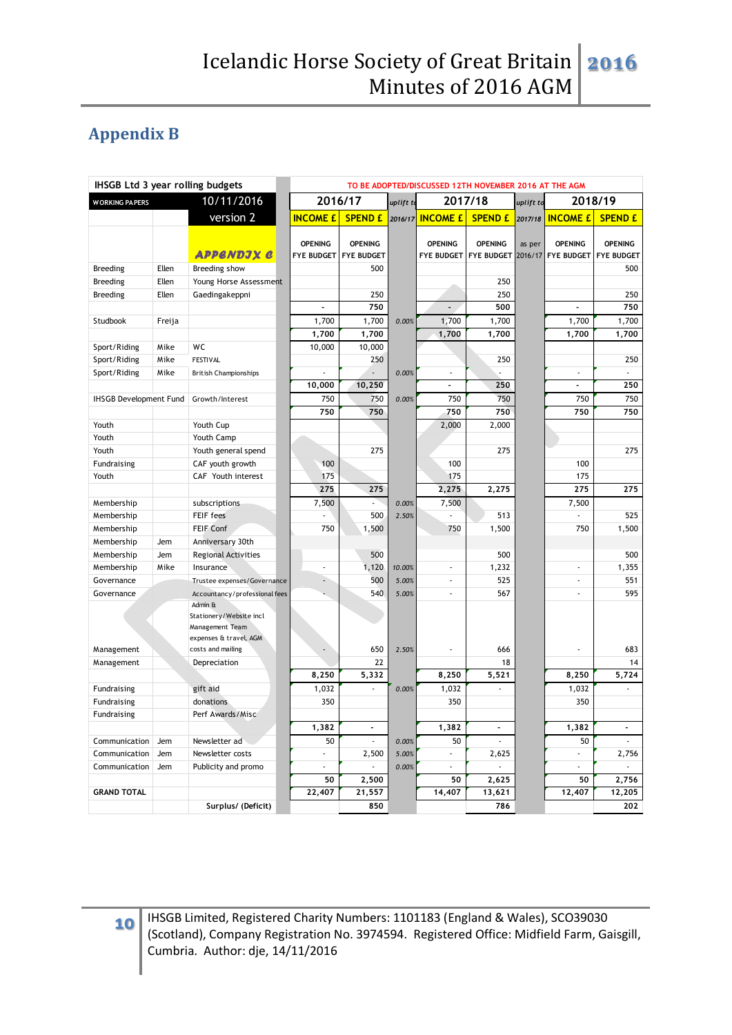# **Appendix B**

| IHSGB Ltd 3 year rolling budgets    |        | TO BE ADOPTED/DISCUSSED 12TH NOVEMBER 2016 AT THE AGM |                 |                                         |         |                 |                                         |                   |                                     |                                     |
|-------------------------------------|--------|-------------------------------------------------------|-----------------|-----------------------------------------|---------|-----------------|-----------------------------------------|-------------------|-------------------------------------|-------------------------------------|
| 10/11/2016<br><b>WORKING PAPERS</b> |        |                                                       | 2016/17         | uplift to                               |         | 2017/18         | uplift to                               |                   | 2018/19                             |                                     |
|                                     |        | version 2                                             | <b>INCOME £</b> | <b>SPEND £</b>                          | 2016/17 | <b>INCOME £</b> | <b>SPEND £</b>                          | 2017/18           | <b>INCOME £</b>                     | <b>SPEND £</b>                      |
|                                     |        | APPENDJX C                                            | <b>OPENING</b>  | <b>OPENING</b><br>FYE BUDGET FYE BUDGET |         | <b>OPENING</b>  | <b>OPENING</b><br>FYE BUDGET FYE BUDGET | as per<br>2016/17 | <b>OPENING</b><br><b>FYE BUDGET</b> | <b>OPENING</b><br><b>FYE BUDGET</b> |
| <b>Breeding</b>                     | Ellen  | Breeding show                                         |                 | 500                                     |         |                 |                                         |                   |                                     | 500                                 |
| <b>Breeding</b>                     | Ellen  | Young Horse Assessment                                |                 |                                         |         |                 | 250                                     |                   |                                     |                                     |
| <b>Breeding</b>                     | Ellen  | Gaedingakeppni                                        |                 | 250                                     |         |                 | 250                                     |                   |                                     | 250                                 |
|                                     |        |                                                       |                 | 750                                     |         | $\overline{a}$  | 500                                     |                   |                                     | 750                                 |
| Studbook                            | Freija |                                                       | 1,700           | 1,700                                   | 0.00%   | 1,700           | 1,700                                   |                   | 1,700                               | 1,700                               |
|                                     |        |                                                       | 1,700           | 1,700                                   |         | 1,700           | 1,700                                   |                   | 1,700                               | 1,700                               |
| Sport/Riding                        | Mike   | WC                                                    | 10,000          | 10,000                                  |         |                 |                                         |                   |                                     |                                     |
| Sport/Riding                        | Mike   | <b>FESTIVAL</b>                                       |                 | 250                                     |         |                 | 250                                     |                   |                                     | 250                                 |
| Sport/Riding                        | Mike   | <b>British Championships</b>                          | ÷,              |                                         | 0.00%   | $\blacksquare$  |                                         |                   | ä,                                  | ×                                   |
|                                     |        |                                                       | 10,000          | 10,250                                  |         | ä,              | 250                                     |                   | $\overline{a}$                      | 250                                 |
| <b>IHSGB Development Fund</b>       |        | Growth/Interest                                       | 750             | 750                                     | 0.00%   | 750             | 750                                     |                   | 750                                 | 750                                 |
|                                     |        |                                                       | 750             | 750                                     |         | 750             | 750                                     |                   | 750                                 | 750                                 |
| Youth                               |        | Youth Cup                                             |                 |                                         |         | 2,000           | 2,000                                   |                   |                                     |                                     |
| Youth                               |        | Youth Camp                                            |                 |                                         |         |                 |                                         |                   |                                     |                                     |
| Youth                               |        | Youth general spend                                   |                 | 275                                     |         |                 | 275                                     |                   |                                     | 275                                 |
| Fundraising                         |        | CAF youth growth                                      | 100             |                                         |         | 100             |                                         |                   | 100                                 |                                     |
| Youth                               |        | CAF Youth interest                                    | 175             |                                         |         | 175             |                                         |                   | 175                                 |                                     |
|                                     |        |                                                       | 275             | 275                                     |         | 2,275           | 2,275                                   |                   | 275                                 | 275                                 |
| Membership                          |        | subscriptions                                         | 7,500           | u,                                      | 0.00%   | 7,500           |                                         |                   | 7,500                               |                                     |
| Membership                          |        | FEIF fees                                             |                 | 500                                     | 2.50%   |                 | 513                                     |                   |                                     | 525                                 |
| Membership                          |        | FEIF Conf                                             | 750             | 1,500                                   |         | 750             | 1,500                                   |                   | 750                                 | 1,500                               |
| Membership                          | Jem    | Anniversary 30th                                      |                 |                                         |         |                 |                                         |                   |                                     |                                     |
| Membership                          | Jem    | <b>Regional Activities</b>                            |                 | 500                                     |         |                 | 500                                     |                   |                                     | 500                                 |
| Membership                          | Mike   | Insurance                                             | ä,              | 1,120                                   | 10.00%  | ÷,              | 1,232                                   |                   | ä,                                  | 1,355                               |
| Governance                          |        | Trustee expenses/Governance                           | ÷,              | 500                                     | 5.00%   | $\blacksquare$  | 525                                     |                   | ä,                                  | 551                                 |
| Governance                          |        | Accountancy/professional fees                         |                 | 540                                     | 5.00%   | ÷,              | 567                                     |                   | ä,                                  | 595                                 |
|                                     |        | Admin &<br>Stationery/Website incl                    |                 |                                         |         |                 |                                         |                   |                                     |                                     |
|                                     |        | Management Team                                       |                 |                                         |         |                 |                                         |                   |                                     |                                     |
|                                     |        | expenses & travel, AGM                                |                 |                                         |         |                 |                                         |                   |                                     |                                     |
| Management                          |        | costs and mailing                                     |                 | 650<br>22                               | 2.50%   | ÷,              | 666<br>18                               |                   | ä,                                  | 683<br>14                           |
| Management                          |        | Depreciation                                          | 8,250           | 5,332                                   |         | 8,250           | 5,521                                   |                   | 8,250                               | 5,724                               |
| Fundraising                         |        | gift aid                                              | 1,032           | ä,                                      | 0.00%   | 1,032           | ä,                                      |                   | 1,032                               | ×,                                  |
| Fundraising                         |        | donations                                             | 350             |                                         |         | 350             |                                         |                   | 350                                 |                                     |
| Fundraising                         |        | Perf Awards/Misc                                      |                 |                                         |         |                 |                                         |                   |                                     |                                     |
|                                     |        |                                                       | 1,382           | $\overline{\phantom{a}}$                |         | 1,382           | $\blacksquare$                          |                   | 1,382                               | $\Box$                              |
| Communication                       | Jem    | Newsletter ad                                         | 50              | i,                                      | 0.00%   | 50              |                                         |                   | 50                                  |                                     |
| Communication                       | Jem    | Newsletter costs                                      | ä,              | 2,500                                   | 5.00%   | $\blacksquare$  | 2,625                                   |                   | ä,                                  | 2,756                               |
| Communication                       | Jem    | Publicity and promo                                   | ä,              |                                         | 0.00%   | ×.              |                                         |                   | ä,                                  |                                     |
|                                     |        |                                                       | 50              | 2,500                                   |         | 50              | 2,625                                   |                   | 50                                  | 2,756                               |
| <b>GRAND TOTAL</b>                  |        |                                                       | 22,407          | 21,557                                  |         | 14,407          | 13,621                                  |                   | 12,407                              | 12,205                              |
|                                     |        | Surplus/ (Deficit)                                    |                 | 850                                     |         |                 | 786                                     |                   |                                     | 202                                 |
|                                     |        |                                                       |                 |                                         |         |                 |                                         |                   |                                     |                                     |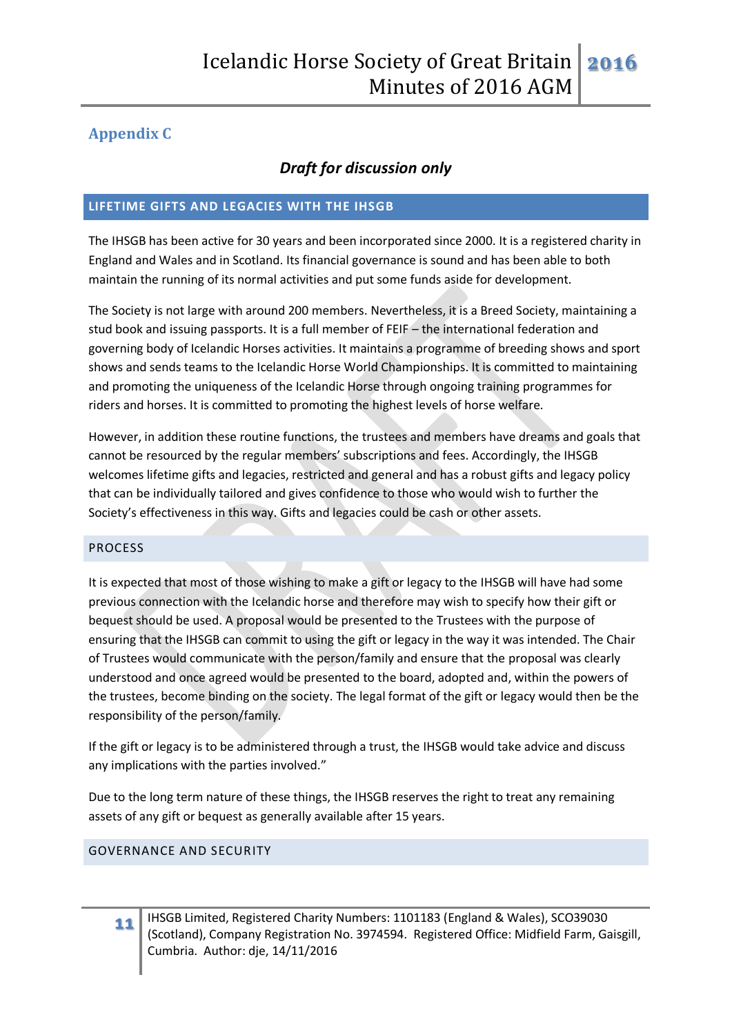# **Appendix C**

# *Draft for discussion only*

# **LIFETIME GIFTS AND LEGACIES WITH THE IHSGB**

The IHSGB has been active for 30 years and been incorporated since 2000. It is a registered charity in England and Wales and in Scotland. Its financial governance is sound and has been able to both maintain the running of its normal activities and put some funds aside for development.

The Society is not large with around 200 members. Nevertheless, it is a Breed Society, maintaining a stud book and issuing passports. It is a full member of FEIF – the international federation and governing body of Icelandic Horses activities. It maintains a programme of breeding shows and sport shows and sends teams to the Icelandic Horse World Championships. It is committed to maintaining and promoting the uniqueness of the Icelandic Horse through ongoing training programmes for riders and horses. It is committed to promoting the highest levels of horse welfare.

However, in addition these routine functions, the trustees and members have dreams and goals that cannot be resourced by the regular members' subscriptions and fees. Accordingly, the IHSGB welcomes lifetime gifts and legacies, restricted and general and has a robust gifts and legacy policy that can be individually tailored and gives confidence to those who would wish to further the Society's effectiveness in this way. Gifts and legacies could be cash or other assets.

# PROCESS

It is expected that most of those wishing to make a gift or legacy to the IHSGB will have had some previous connection with the Icelandic horse and therefore may wish to specify how their gift or bequest should be used. A proposal would be presented to the Trustees with the purpose of ensuring that the IHSGB can commit to using the gift or legacy in the way it was intended. The Chair of Trustees would communicate with the person/family and ensure that the proposal was clearly understood and once agreed would be presented to the board, adopted and, within the powers of the trustees, become binding on the society. The legal format of the gift or legacy would then be the responsibility of the person/family.

If the gift or legacy is to be administered through a trust, the IHSGB would take advice and discuss any implications with the parties involved."

Due to the long term nature of these things, the IHSGB reserves the right to treat any remaining assets of any gift or bequest as generally available after 15 years.

### GOVERNANCE AND SECURITY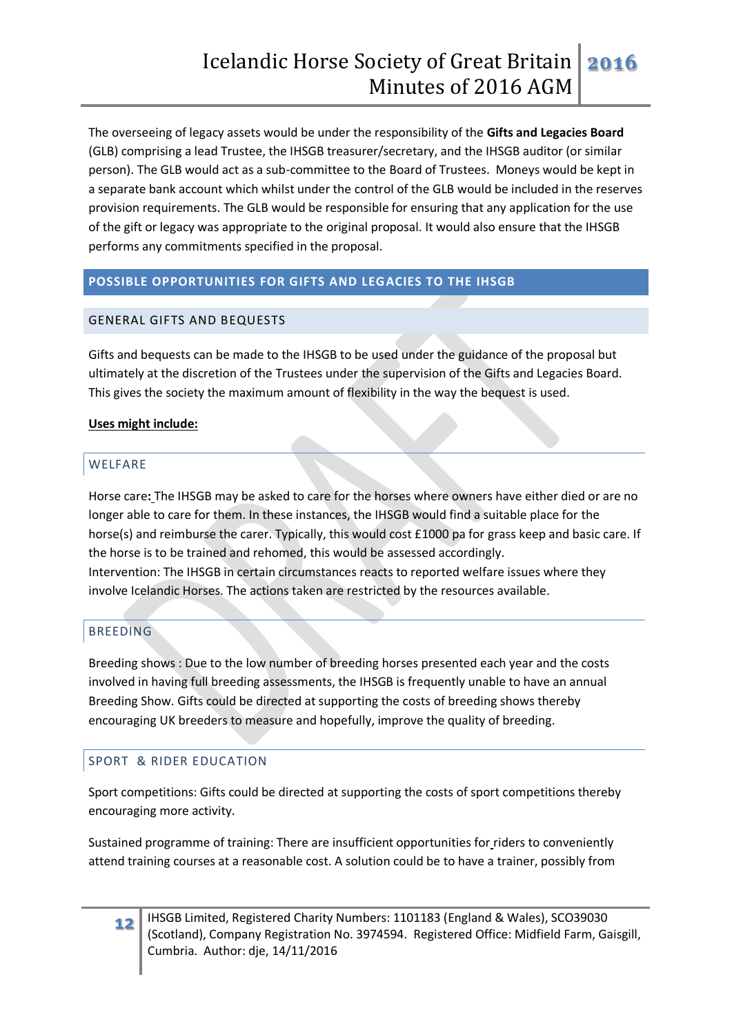The overseeing of legacy assets would be under the responsibility of the **Gifts and Legacies Board** (GLB) comprising a lead Trustee, the IHSGB treasurer/secretary, and the IHSGB auditor (or similar person). The GLB would act as a sub-committee to the Board of Trustees. Moneys would be kept in a separate bank account which whilst under the control of the GLB would be included in the reserves provision requirements. The GLB would be responsible for ensuring that any application for the use of the gift or legacy was appropriate to the original proposal. It would also ensure that the IHSGB performs any commitments specified in the proposal.

### **POSSIBLE OPPORTUNITIES FOR GIFTS AND LEGACIES TO THE IHSGB**

### GENERAL GIFTS AND BEQUESTS

Gifts and bequests can be made to the IHSGB to be used under the guidance of the proposal but ultimately at the discretion of the Trustees under the supervision of the Gifts and Legacies Board. This gives the society the maximum amount of flexibility in the way the bequest is used.

### **Uses might include:**

### WELFARE

Horse care**:** The IHSGB may be asked to care for the horses where owners have either died or are no longer able to care for them. In these instances, the IHSGB would find a suitable place for the horse(s) and reimburse the carer. Typically, this would cost £1000 pa for grass keep and basic care. If the horse is to be trained and rehomed, this would be assessed accordingly. Intervention: The IHSGB in certain circumstances reacts to reported welfare issues where they involve Icelandic Horses. The actions taken are restricted by the resources available.

# **BREEDING**

Breeding shows : Due to the low number of breeding horses presented each year and the costs involved in having full breeding assessments, the IHSGB is frequently unable to have an annual Breeding Show. Gifts could be directed at supporting the costs of breeding shows thereby encouraging UK breeders to measure and hopefully, improve the quality of breeding.

# SPORT & RIDER EDUCATION

Sport competitions: Gifts could be directed at supporting the costs of sport competitions thereby encouraging more activity.

Sustained programme of training: There are insufficient opportunities for riders to conveniently attend training courses at a reasonable cost. A solution could be to have a trainer, possibly from